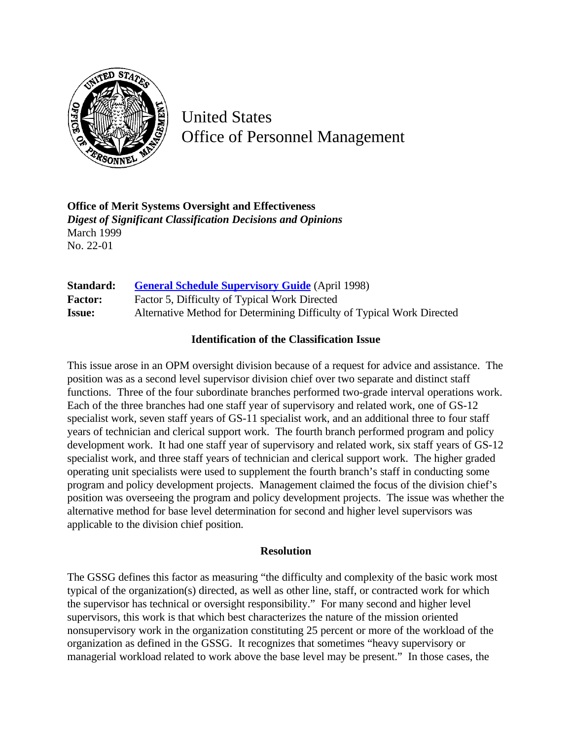

United States Office of Personnel Management

**Office of Merit Systems Oversight and Effectiveness** *Digest of Significant Classification Decisions and Opinions* March 1999 No. 22-01

**Standard: [General Schedule Supervisory Guide](http://www.opm.gov/hr/fedclass/gssg.pdf)** (April 1998) Factor: Factor 5, Difficulty of Typical Work Directed **Issue:** Alternative Method for Determining Difficulty of Typical Work Directed

## **Identification of the Classification Issue**

This issue arose in an OPM oversight division because of a request for advice and assistance. The position was as a second level supervisor division chief over two separate and distinct staff functions. Three of the four subordinate branches performed two-grade interval operations work. Each of the three branches had one staff year of supervisory and related work, one of GS-12 specialist work, seven staff years of GS-11 specialist work, and an additional three to four staff years of technician and clerical support work. The fourth branch performed program and policy development work. It had one staff year of supervisory and related work, six staff years of GS-12 specialist work, and three staff years of technician and clerical support work. The higher graded operating unit specialists were used to supplement the fourth branch's staff in conducting some program and policy development projects. Management claimed the focus of the division chief's position was overseeing the program and policy development projects. The issue was whether the alternative method for base level determination for second and higher level supervisors was applicable to the division chief position.

## **Resolution**

The GSSG defines this factor as measuring "the difficulty and complexity of the basic work most typical of the organization(s) directed, as well as other line, staff, or contracted work for which the supervisor has technical or oversight responsibility." For many second and higher level supervisors, this work is that which best characterizes the nature of the mission oriented nonsupervisory work in the organization constituting 25 percent or more of the workload of the organization as defined in the GSSG. It recognizes that sometimes "heavy supervisory or managerial workload related to work above the base level may be present." In those cases, the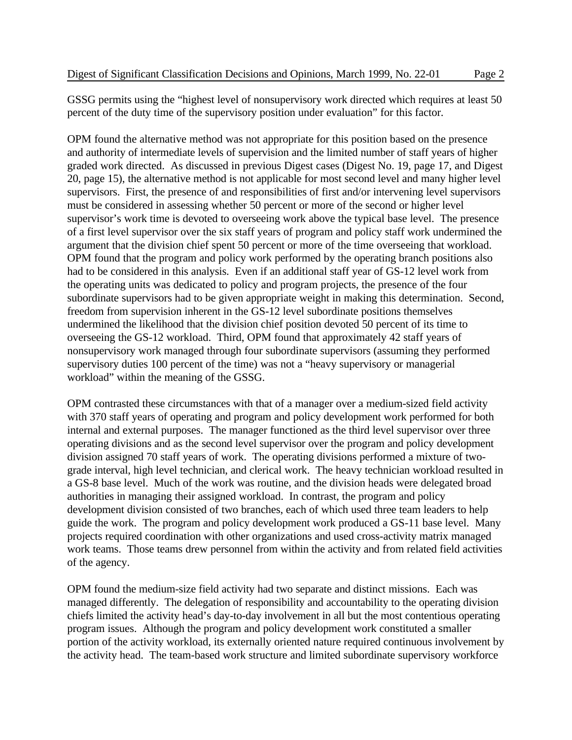GSSG permits using the "highest level of nonsupervisory work directed which requires at least 50 percent of the duty time of the supervisory position under evaluation" for this factor.

OPM found the alternative method was not appropriate for this position based on the presence and authority of intermediate levels of supervision and the limited number of staff years of higher graded work directed. As discussed in previous Digest cases (Digest No. 19, page 17, and Digest 20, page 15), the alternative method is not applicable for most second level and many higher level supervisors. First, the presence of and responsibilities of first and/or intervening level supervisors must be considered in assessing whether 50 percent or more of the second or higher level supervisor's work time is devoted to overseeing work above the typical base level. The presence of a first level supervisor over the six staff years of program and policy staff work undermined the argument that the division chief spent 50 percent or more of the time overseeing that workload. OPM found that the program and policy work performed by the operating branch positions also had to be considered in this analysis. Even if an additional staff year of GS-12 level work from the operating units was dedicated to policy and program projects, the presence of the four subordinate supervisors had to be given appropriate weight in making this determination. Second, freedom from supervision inherent in the GS-12 level subordinate positions themselves undermined the likelihood that the division chief position devoted 50 percent of its time to overseeing the GS-12 workload. Third, OPM found that approximately 42 staff years of nonsupervisory work managed through four subordinate supervisors (assuming they performed supervisory duties 100 percent of the time) was not a "heavy supervisory or managerial workload" within the meaning of the GSSG.

OPM contrasted these circumstances with that of a manager over a medium-sized field activity with 370 staff years of operating and program and policy development work performed for both internal and external purposes. The manager functioned as the third level supervisor over three operating divisions and as the second level supervisor over the program and policy development division assigned 70 staff years of work. The operating divisions performed a mixture of twograde interval, high level technician, and clerical work. The heavy technician workload resulted in a GS-8 base level. Much of the work was routine, and the division heads were delegated broad authorities in managing their assigned workload. In contrast, the program and policy development division consisted of two branches, each of which used three team leaders to help guide the work. The program and policy development work produced a GS-11 base level. Many projects required coordination with other organizations and used cross-activity matrix managed work teams. Those teams drew personnel from within the activity and from related field activities of the agency.

OPM found the medium-size field activity had two separate and distinct missions. Each was managed differently. The delegation of responsibility and accountability to the operating division chiefs limited the activity head's day-to-day involvement in all but the most contentious operating program issues. Although the program and policy development work constituted a smaller portion of the activity workload, its externally oriented nature required continuous involvement by the activity head. The team-based work structure and limited subordinate supervisory workforce